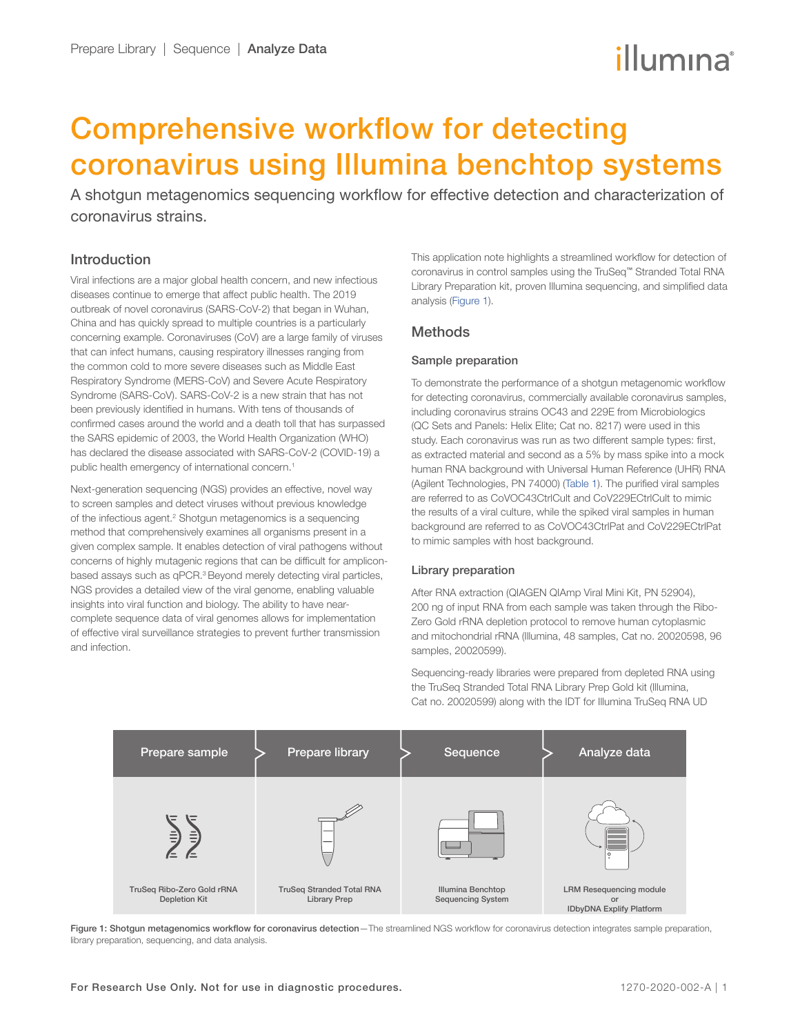# illumına

# Comprehensive workflow for detecting coronavirus using Illumina benchtop systems

A shotgun metagenomics sequencing workflow for effective detection and characterization of coronavirus strains.

# Introduction

Viral infections are a major global health concern, and new infectious diseases continue to emerge that affect public health. The 2019 outbreak of novel coronavirus (SARS-CoV-2) that began in Wuhan, China and has quickly spread to multiple countries is a particularly concerning example. Coronaviruses (CoV) are a large family of viruses that can infect humans, causing respiratory illnesses ranging from the common cold to more severe diseases such as Middle East Respiratory Syndrome (MERS-CoV) and Severe Acute Respiratory Syndrome (SARS-CoV). SARS-CoV-2 is a new strain that has not been previously identified in humans. With tens of thousands of confirmed cases around the world and a death toll that has surpassed the SARS epidemic of 2003, the World Health Organization (WHO) has declared the disease associated with SARS-CoV-2 (COVID-19) a public health emergency of international concern.<sup>1</sup>

Next-generation sequencing (NGS) provides an effective, novel way to screen samples and detect viruses without previous knowledge of the infectious agent.<sup>2</sup> Shotgun metagenomics is a sequencing method that comprehensively examines all organisms present in a given complex sample. It enables detection of viral pathogens without concerns of highly mutagenic regions that can be difficult for ampliconbased assays such as qPCR.<sup>3</sup> Beyond merely detecting viral particles, NGS provides a detailed view of the viral genome, enabling valuable insights into viral function and biology. The ability to have nearcomplete sequence data of viral genomes allows for implementation of effective viral surveillance strategies to prevent further transmission and infection.

This application note highlights a streamlined workflow for detection of coronavirus in control samples using the TruSeq™ Stranded Total RNA Library Preparation kit, proven Illumina sequencing, and simplified data analysis (Figure 1).

# Methods

# Sample preparation

To demonstrate the performance of a shotgun metagenomic workflow for detecting coronavirus, commercially available coronavirus samples, including coronavirus strains OC43 and 229E from Microbiologics (QC Sets and Panels: Helix Elite; Cat no. 8217) were used in this study. Each coronavirus was run as two different sample types: first, as extracted material and second as a 5% by mass spike into a mock human RNA background with Universal Human Reference (UHR) RNA (Agilent Technologies, PN 74000) ([Table 1](#page-1-0)). The purified viral samples are referred to as CoVOC43CtrlCult and CoV229ECtrlCult to mimic the results of a viral culture, while the spiked viral samples in human background are referred to as CoVOC43CtrlPat and CoV229ECtrlPat to mimic samples with host background.

#### Library preparation

After RNA extraction (QIAGEN QIAmp Viral Mini Kit, PN 52904), 200 ng of input RNA from each sample was taken through the Ribo-Zero Gold rRNA depletion protocol to remove human cytoplasmic and mitochondrial rRNA (Illumina, 48 samples, Cat no. 20020598, 96 samples, 20020599).

Sequencing-ready libraries were prepared from depleted RNA using the TruSeq Stranded Total RNA Library Prep Gold kit (Illumina, Cat no. 20020599) along with the IDT for Illumina TruSeq RNA UD



Figure 1: Shotgun metagenomics workflow for coronavirus detection-The streamlined NGS workflow for coronavirus detection integrates sample preparation, library preparation, sequencing, and data analysis.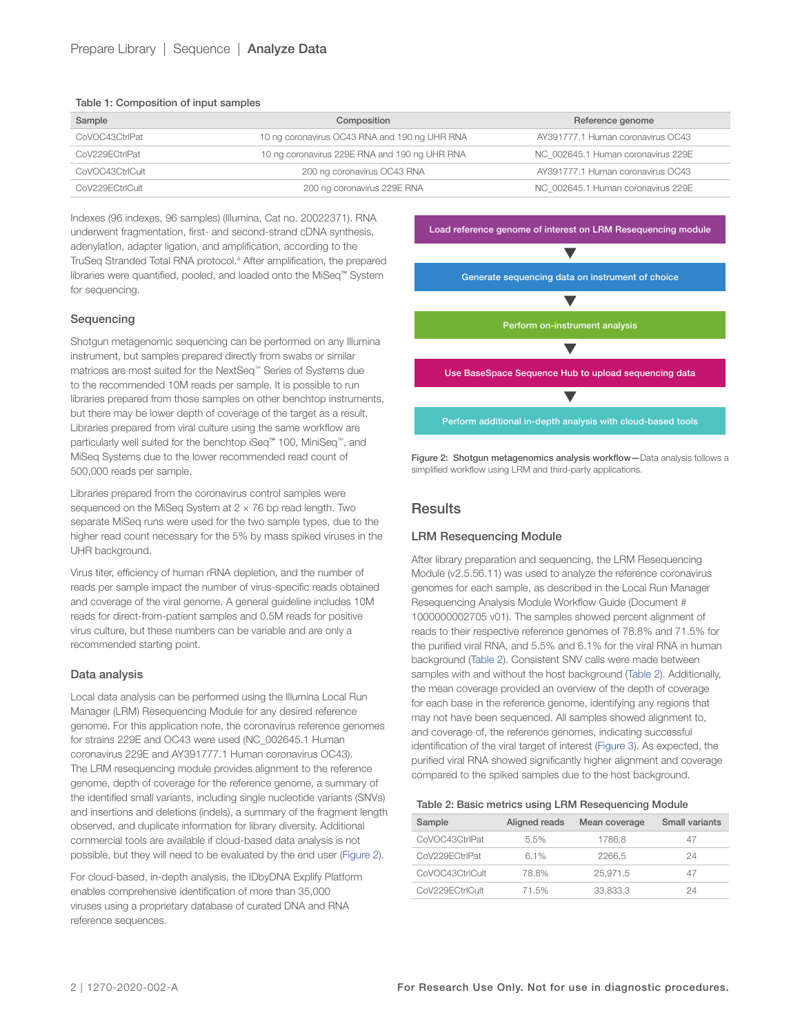#### <span id="page-1-0"></span>Table 1: Composition of input samples

| Sample          | Composition                                   | Reference genome                   |  |
|-----------------|-----------------------------------------------|------------------------------------|--|
| CoVOC43CtrlPat  | 10 ng coronavirus OC43 RNA and 190 ng UHR RNA | AY391777.1 Human coronavirus OC43  |  |
| CoV229ECtrlPat  | 10 ng coronavirus 229E RNA and 190 ng UHR RNA | NC 002645.1 Human coronavirus 229E |  |
| CoVOC43CtrlCult | 200 ng coronavirus OC43 RNA                   | AY391777.1 Human coronavirus OC43  |  |
| CoV229ECtrlCult | 200 ng coronavirus 229E RNA                   | NC 002645.1 Human coronavirus 229E |  |

Indexes (96 indexes, 96 samples) (Illumina, Cat no. 20022371). RNA underwent fragmentation, first- and second-strand cDNA synthesis, adenylation, adapter ligation, and amplification, according to the TruSeq Stranded Total RNA protocol.<sup>4</sup> After amplification, the prepared libraries were quantified, pooled, and loaded onto the MiSeq™ System for sequencing.

#### Sequencing

Shotgun metagenomic sequencing can be performed on any Illumina instrument, but samples prepared directly from swabs or similar matrices are most suited for the NextSeq™ Series of Systems due to the recommended 10M reads per sample. It is possible to run libraries prepared from those samples on other benchtop instruments, but there may be lower depth of coverage of the target as a result. Libraries prepared from viral culture using the same workflow are particularly well suited for the benchtop iSeq™ 100, MiniSeq™, and MiSeq Systems due to the lower recommended read count of 500,000 reads per sample.

Libraries prepared from the coronavirus control samples were sequenced on the MiSeq System at  $2 \times 76$  bp read length. Two separate MiSeq runs were used for the two sample types, due to the higher read count necessary for the 5% by mass spiked viruses in the UHR background.

Virus titer, efficiency of human rRNA depletion, and the number of reads per sample impact the number of virus-specific reads obtained and coverage of the viral genome. A general guideline includes 10M reads for direct-from-patient samples and 0.5M reads for positive virus culture, but these numbers can be variable and are only a recommended starting point.

#### Data analysis

Local data analysis can be performed using the Illumina Local Run Manager (LRM) Resequencing Module for any desired reference genome. For this application note, the coronavirus reference genomes for strains 229E and OC43 were used (NC\_002645.1 Human coronavirus 229E and AY391777.1 Human coronavirus OC43). The LRM resequencing module provides alignment to the reference genome, depth of coverage for the reference genome, a summary of the identified small variants, including single nucleotide variants (SNVs) and insertions and deletions (indels), a summary of the fragment length observed, and duplicate information for library diversity. Additional commercial tools are available if cloud-based data analysis is not possible, but they will need to be evaluated by the end user (Figure 2).

For cloud-based, in-depth analysis, the [IDbyDNA Explify Platform](https://www.idbydna.com/explify-platform/) enables comprehensive identification of more than 35,000 viruses using a proprietary database of curated DNA and RNA reference sequences.



Figure 2: Shotgun metagenomics analysis workflow-Data analysis follows a simplified workflow using LRM and third-party applications.

# **Results**

#### LRM Resequencing Module

After library preparation and sequencing, the LRM Resequencing Module (v2.5.56.11) was used to analyze the reference coronavirus genomes for each sample, as described in the Local Run Manager Resequencing Analysis Module Workflow Guide (Document # 1000000002705 v01). The samples showed percent alignment of reads to their respective reference genomes of 78.8% and 71.5% for the purified viral RNA, and 5.5% and 6.1% for the viral RNA in human background (Table 2). Consistent SNV calls were made between samples with and without the host background (Table 2). Additionally, the mean coverage provided an overview of the depth of coverage for each base in the reference genome, identifying any regions that may not have been sequenced. All samples showed alignment to, and coverage of, the reference genomes, indicating successful identification of the viral target of interest ([Figure 3](#page-2-4)). As expected, the purified viral RNA showed significantly higher alignment and coverage compared to the spiked samples due to the host background.

| Table 2: Basic metrics using LRM Resequencing Module |  |
|------------------------------------------------------|--|

| Sample          | Aligned reads | Mean coverage | Small variants |
|-----------------|---------------|---------------|----------------|
| CoVOC43CtrlPat  | 5.5%          | 1786.8        | 47             |
| CoV229FCtrlPat  | 6.1%          | 2266.5        | 24             |
| CoVOC43CtrlCult | 78.8%         | 25.971.5      | 47             |
| CoV229FCtrlCult | 71.5%         | 33.833.3      | 24             |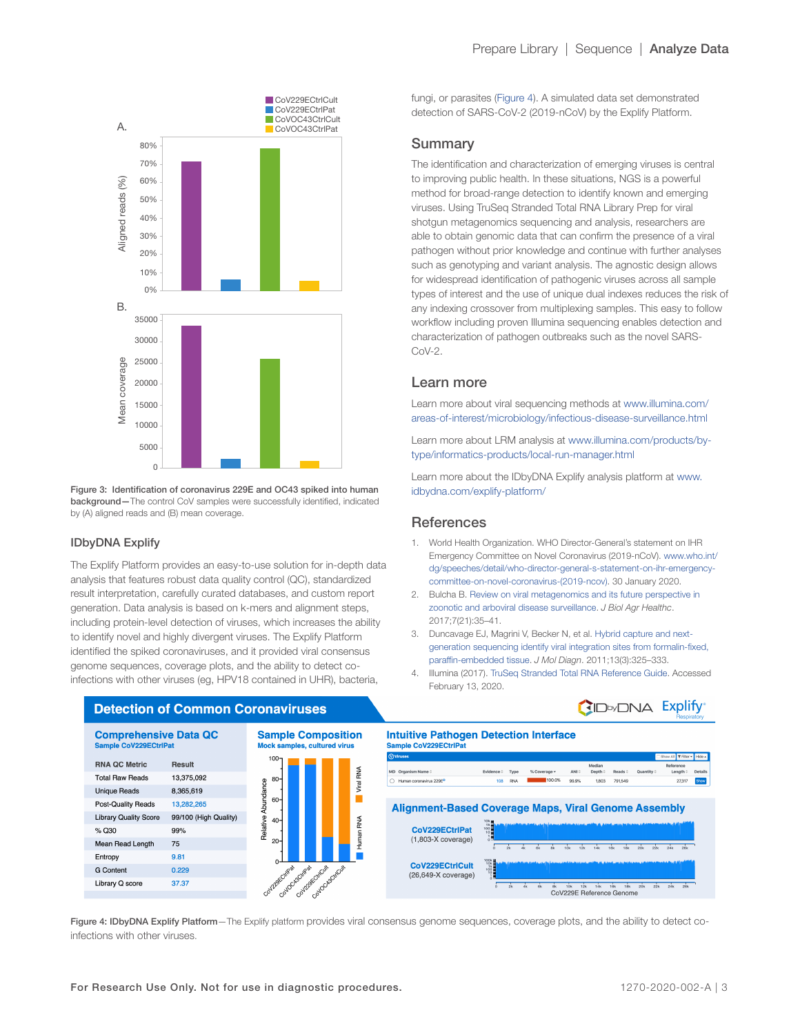<span id="page-2-4"></span>

Figure 3: Identification of coronavirus 229E and OC43 spiked into human background–The control CoV samples were successfully identified, indicated by (A) aligned reads and (B) mean coverage.

# IDbyDNA Explify

The Explify Platform provides an easy-to-use solution for in-depth data analysis that features robust data quality control (QC), standardized result interpretation, carefully curated databases, and custom report generation. Data analysis is based on k-mers and alignment steps, including protein-level detection of viruses, which increases the ability to identify novel and highly divergent viruses. The Explify Platform identified the spiked coronaviruses, and it provided viral consensus genome sequences, coverage plots, and the ability to detect coinfections with other viruses (eg, HPV18 contained in UHR), bacteria,

**Detection of Common Coronaviruses** 

fungi, or parasites [\(Figure 4](#page-3-0)). A simulated data set demonstrated detection of SARS-CoV-2 (2019-nCoV) by the Explify Platform.

# Summary

The identification and characterization of emerging viruses is central to improving public health. In these situations, NGS is a powerful method for broad-range detection to identify known and emerging viruses. Using TruSeq Stranded Total RNA Library Prep for viral shotgun metagenomics sequencing and analysis, researchers are able to obtain genomic data that can confirm the presence of a viral pathogen without prior knowledge and continue with further analyses such as genotyping and variant analysis. The agnostic design allows for widespread identification of pathogenic viruses across all sample types of interest and the use of unique dual indexes reduces the risk of any indexing crossover from multiplexing samples. This easy to follow workflow including proven Illumina sequencing enables detection and characterization of pathogen outbreaks such as the novel SARS- $C_0V-2$ 

# Learn more

Learn more about viral sequencing methods at [www.illumina.com/](https://www.illumina.com/areas-of-interest/microbiology/infectious-disease-surveillance.html) [areas-of-interest/microbiology/infectious-disease-surveillance.html](https://www.illumina.com/areas-of-interest/microbiology/infectious-disease-surveillance.html)

Learn more about LRM analysis at [www.illumina.com/products/by](https://www.illumina.com/products/by-type/informatics-products/local-run-manager.html)[type/informatics-products/local-run-manager.html](https://www.illumina.com/products/by-type/informatics-products/local-run-manager.html)

Learn more about the IDbyDNA Explify analysis platform at [www.](https://www.idbydna.com/explify-platform/) [idbydna.com/explify-platform/](https://www.idbydna.com/explify-platform/)

# **References**

- 1. World Health Organization. WHO Director-General's statement on IHR Emergency Committee on Novel Coronavirus (2019-nCoV). [www.who.int/](https://www.who.int/dg/speeches/detail/who-director-general-s-statement-on-ihr-emergency-committee-on-novel-coronavirus-(2019-ncov)) [dg/speeches/detail/who-director-general-s-statement-on-ihr-emergency](https://www.who.int/dg/speeches/detail/who-director-general-s-statement-on-ihr-emergency-committee-on-novel-coronavirus-(2019-ncov))[committee-on-novel-coronavirus-\(2019-ncov\)](https://www.who.int/dg/speeches/detail/who-director-general-s-statement-on-ihr-emergency-committee-on-novel-coronavirus-(2019-ncov)). 30 January 2020.
- <span id="page-2-1"></span>2. Bulcha B. [Review on viral metagenomics and its future perspective in](https://iiste.org/Journals/index.php/JBAH/article/view/39662)  [zoonotic and arboviral disease surveillance](https://iiste.org/Journals/index.php/JBAH/article/view/39662). *J Biol Agr Healthc*. 2017;7(21):35–41.
- <span id="page-2-2"></span>3. Duncavage EJ, Magrini V, Becker N, et al. [Hybrid capture and next](https://www.ncbi.nlm.nih.gov/pmc/articles/PMC3077736/)[generation sequencing identify viral integration sites from formalin-fixed,](https://www.ncbi.nlm.nih.gov/pmc/articles/PMC3077736/)  [paraffin-embedded tissue](https://www.ncbi.nlm.nih.gov/pmc/articles/PMC3077736/). *J Mol Diagn*. 2011;13(3):325–333.
- <span id="page-2-3"></span>4. Illumina (2017). [TruSeq Stranded Total RNA Reference Guide.](https://support.illumina.com/content/dam/illumina-support/documents/documentation/chemistry_documentation/samplepreps_truseq/truseq-stranded-total-rna-workflow/truseq-stranded-total-rna-workflow-reference-1000000040499-00.pdf) Accessed February 13, 2020.

<span id="page-2-0"></span>



Figure 4: IDbyDNA Explify Platform-The Explify platform provides viral consensus genome sequences, coverage plots, and the ability to detect coinfections with other viruses.